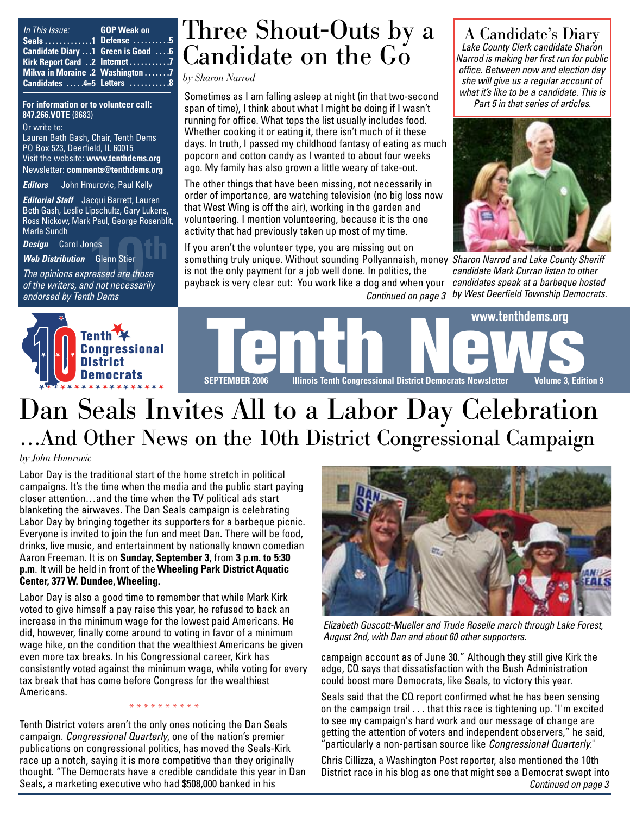| In This Issue: | <b>Example 19 GOP Weak on</b>         |
|----------------|---------------------------------------|
|                | Seals 1 Defense $\dots \dots \dots 5$ |
|                | Candidate Diary  1 Green is Good  . 6 |
|                | Kirk Report Card 2 Internet 7         |
|                | Mikva in Moraine .2 Washington 7      |
|                | <b>Candidates 4=5 Letters 8</b>       |

**For information or to volunteer call: 847.266.VOTE** (8683)

Or write to: Lauren Beth Gash, Chair, Tenth Dems PO Box 523, Deerfield, IL 60015 Visit the website: **www.tenthdems.org**  Newsletter: **comments@tenthdems.org**

*Editors* John Hmurovic, Paul Kelly

*Editorial Staff* Jacqui Barrett, Lauren Beth Gash, Leslie Lipschultz, Gary Lukens, Ross Nickow, Mark Paul, George Rosenblit, Marla Sundh

*Design* Carol Jones

*Web Distribution* Glenn Stier

wana sunun<br>**Design C**arol Jones<br>**Web Distribution** Glenn Stier<br>The opinions expressed are those<br>of the writers, and not necessarily *The opinions expressed are those endorsed by Tenth Dems*

### Three Shout-Outs by a Candidate on the Go

*by Sharon Narrod*

Sometimes as I am falling asleep at night (in that two-second span of time), I think about what I might be doing if I wasn't running for office. What tops the list usually includes food. Whether cooking it or eating it, there isn't much of it these days. In truth, I passed my childhood fantasy of eating as much popcorn and cotton candy as I wanted to about four weeks ago. My family has also grown a little weary of take-out.

The other things that have been missing, not necessarily in order of importance, are watching television (no big loss now that West Wing is off the air), working in the garden and volunteering. I mention volunteering, because it is the one activity that had previously taken up most of my time.

If you aren't the volunteer type, you are missing out on something truly unique. Without sounding Pollyannaish, money *Sharon Narrod and Lake County Sheriff*

is not the only payment for a job well done. In politics, the payback is very clear cut: You work like a dog and when your

A Candidate's Diary *Lake County Clerk candidate Sharon Narrod is making her first run for public office. Between now and election day she will give us a regular account of what it's like to be a candidate. This is Part 5 in that series of articles.* 



*Continued on page 3 by West Deerfield Township Democrats. candidate Mark Curran listen to other candidates speak at a barbeque hosted*





# Dan Seals Invites All to a Labor Day Celebration …And Other News on the 10th District Congressional Campaign

#### *by John Hmurovic*

Labor Day is the traditional start of the home stretch in political campaigns. It's the time when the media and the public start paying closer attention…and the time when the TV political ads start blanketing the airwaves. The Dan Seals campaign is celebrating Labor Day by bringing together its supporters for a barbeque picnic. Everyone is invited to join the fun and meet Dan. There will be food, drinks, live music, and entertainment by nationally known comedian Aaron Freeman. It is on **Sunday, September 3**, from **3 p.m. to 5:30 p.m**. It will be held in front of the **Wheeling Park District Aquatic Center, 377 W. Dundee, Wheeling.**

Labor Day is also a good time to remember that while Mark Kirk voted to give himself a pay raise this year, he refused to back an increase in the minimum wage for the lowest paid Americans. He did, however, finally come around to voting in favor of a minimum wage hike, on the condition that the wealthiest Americans be given even more tax breaks. In his Congressional career, Kirk has consistently voted against the minimum wage, while voting for every tax break that has come before Congress for the wealthiest Americans.

Tenth District voters aren't the only ones noticing the Dan Seals campaign. *Congressional Quarterly*, one of the nation's premier publications on congressional politics, has moved the Seals-Kirk race up a notch, saying it is more competitive than they originally thought. "The Democrats have a credible candidate this year in Dan Seals, a marketing executive who had \$508,000 banked in his

\* \* \* \* \* \* \* \* \* \*



*Elizabeth Guscott-Mueller and Trude Roselle march through Lake Forest, August 2nd, with Dan and about 60 other supporters.*

campaign account as of June 30." Although they still give Kirk the edge, CQ says that dissatisfaction with the Bush Administration could boost more Democrats, like Seals, to victory this year.

Seals said that the CQ report confirmed what he has been sensing on the campaign trail . . . that this race is tightening up. "I'm excited to see my campaign's hard work and our message of change are getting the attention of voters and independent observers," he said, "particularly a non-partisan source like *Congressional Quarterly*."

Chris Cillizza, a Washington Post reporter, also mentioned the 10th District race in his blog as one that might see a Democrat swept into *Continued on page 3*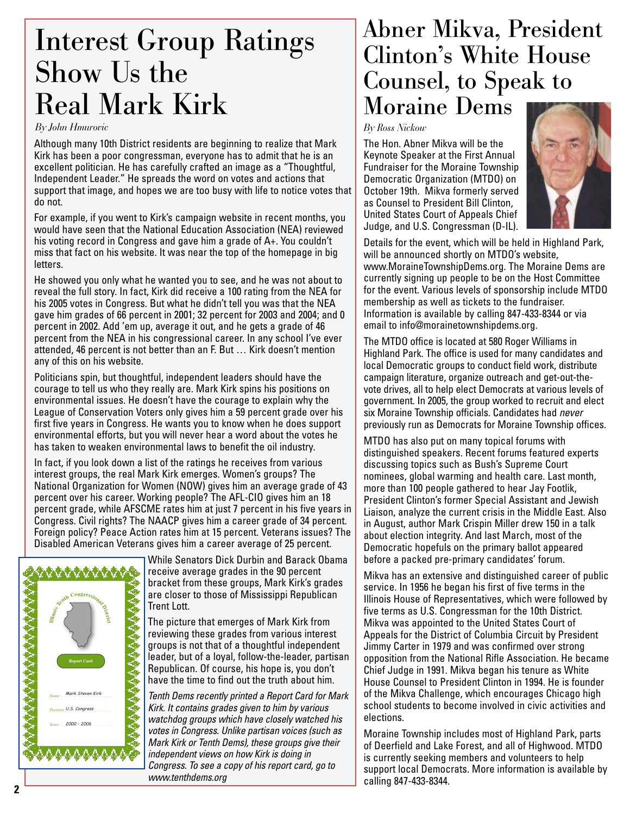# Interest Group Ratings Show Us the Real Mark Kirk

#### *By John Hmurovic*

Although many 10th District residents are beginning to realize that Mark Kirk has been a poor congressman, everyone has to admit that he is an excellent politician. He has carefully crafted an image as a "Thoughtful, Independent Leader." He spreads the word on votes and actions that support that image, and hopes we are too busy with life to notice votes that do not.

For example, if you went to Kirk's campaign website in recent months, you would have seen that the National Education Association (NEA) reviewed his voting record in Congress and gave him a grade of A+. You couldn't miss that fact on his website. It was near the top of the homepage in big letters.

He showed you only what he wanted you to see, and he was not about to reveal the full story. In fact, Kirk did receive a 100 rating from the NEA for his 2005 votes in Congress. But what he didn't tell you was that the NEA gave him grades of 66 percent in 2001; 32 percent for 2003 and 2004; and 0 percent in 2002. Add 'em up, average it out, and he gets a grade of 46 percent from the NEA in his congressional career. In any school I've ever attended, 46 percent is not better than an F. But … Kirk doesn't mention any of this on his website.

Politicians spin, but thoughtful, independent leaders should have the courage to tell us who they really are. Mark Kirk spins his positions on environmental issues. He doesn't have the courage to explain why the League of Conservation Voters only gives him a 59 percent grade over his first five years in Congress. He wants you to know when he does support environmental efforts, but you will never hear a word about the votes he has taken to weaken environmental laws to benefit the oil industry.

In fact, if you look down a list of the ratings he receives from various interest groups, the real Mark Kirk emerges. Women's groups? The National Organization for Women (NOW) gives him an average grade of 43 percent over his career. Working people? The AFL-CIO gives him an 18 percent grade, while AFSCME rates him at just 7 percent in his five years in Congress. Civil rights? The NAACP gives him a career grade of 34 percent. Foreign policy? Peace Action rates him at 15 percent. Veterans issues? The Disabled American Veterans gives him a career average of 25 percent.



While Senators Dick Durbin and Barack Obama receive average grades in the 90 percent bracket from these groups, Mark Kirk's grades are closer to those of Mississippi Republican Trent Lott.

The picture that emerges of Mark Kirk from reviewing these grades from various interest groups is not that of a thoughtful independent leader, but of a loyal, follow-the-leader, partisan Republican. Of course, his hope is, you don't have the time to find out the truth about him.

*Tenth Dems recently printed a Report Card for Mark Kirk. It contains grades given to him by various watchdog groups which have closely watched his votes in Congress. Unlike partisan voices (such as Mark Kirk or Tenth Dems), these groups give their independent views on how Kirk is doing in Congress. To see a copy of his report card, go to www.tenthdems.org*

### Abner Mikva, President Clinton's White House Counsel, to Speak to Moraine Dems

*By Ross Nickow*

The Hon. Abner Mikva will be the Keynote Speaker at the First Annual Fundraiser for the Moraine Township Democratic Organization (MTDO) on October 19th. Mikva formerly served as Counsel to President Bill Clinton, United States Court of Appeals Chief Judge, and U.S. Congressman (D-IL).



Details for the event, which will be held in Highland Park, will be announced shortly on MTDO's website, www.MoraineTownshipDems.org. The Moraine Dems are currently signing up people to be on the Host Committee for the event. Various levels of sponsorship include MTDO membership as well as tickets to the fundraiser. Information is available by calling 847-433-8344 or via email to info@morainetownshipdems.org.

The MTDO office is located at 580 Roger Williams in Highland Park. The office is used for many candidates and local Democratic groups to conduct field work, distribute campaign literature, organize outreach and get-out-thevote drives, all to help elect Democrats at various levels of government. In 2005, the group worked to recruit and elect six Moraine Township officials. Candidates had *never* previously run as Democrats for Moraine Township offices.

MTDO has also put on many topical forums with distinguished speakers. Recent forums featured experts discussing topics such as Bush's Supreme Court nominees, global warming and health care. Last month, more than 100 people gathered to hear Jay Footlik, President Clinton's former Special Assistant and Jewish Liaison, analyze the current crisis in the Middle East. Also in August, author Mark Crispin Miller drew 150 in a talk about election integrity. And last March, most of the Democratic hopefuls on the primary ballot appeared before a packed pre-primary candidates' forum.

Mikva has an extensive and distinguished career of public service. In 1956 he began his first of five terms in the Illinois House of Representatives, which were followed by five terms as U.S. Congressman for the 10th District. Mikva was appointed to the United States Court of Appeals for the District of Columbia Circuit by President Jimmy Carter in 1979 and was confirmed over strong opposition from the National Rifle Association. He became Chief Judge in 1991. Mikva began his tenure as White House Counsel to President Clinton in 1994. He is founder of the Mikva Challenge, which encourages Chicago high school students to become involved in civic activities and elections.

Moraine Township includes most of Highland Park, parts of Deerfield and Lake Forest, and all of Highwood. MTDO is currently seeking members and volunteers to help support local Democrats. More information is available by calling 847-433-8344.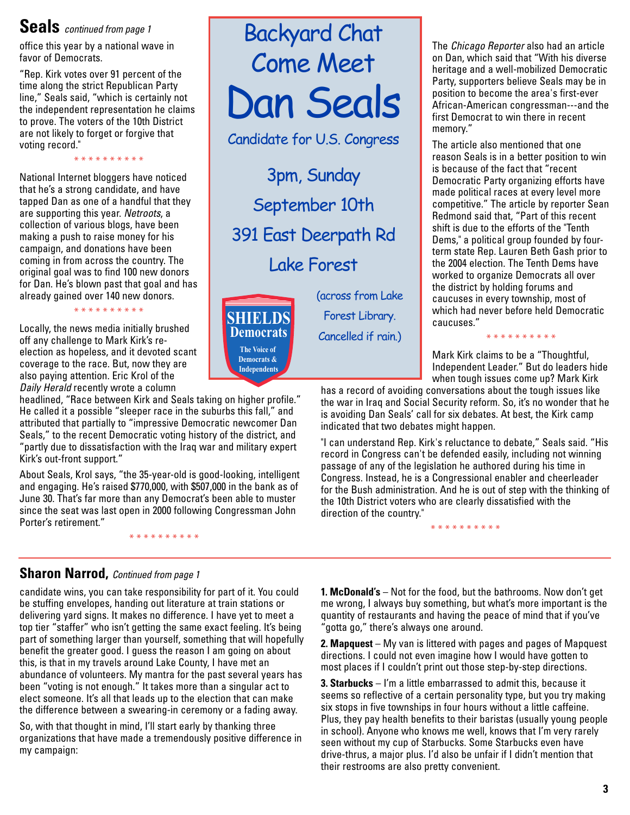### **Seals** *continued from page 1*

office this year by a national wave in favor of Democrats.

"Rep. Kirk votes over 91 percent of the time along the strict Republican Party line," Seals said, "which is certainly not the independent representation he claims to prove. The voters of the 10th District are not likely to forget or forgive that voting record."

\* \* \* \* \* \* \* \* \* \*

National Internet bloggers have noticed that he's a strong candidate, and have tapped Dan as one of a handful that they are supporting this year. *Netroots*, a collection of various blogs, have been making a push to raise money for his campaign, and donations have been coming in from across the country. The original goal was to find 100 new donors for Dan. He's blown past that goal and has already gained over 140 new donors.

\* \* \* \* \* \* \* \* \* \*

Locally, the news media initially brushed off any challenge to Mark Kirk's reelection as hopeless, and it devoted scant coverage to the race. But, now they are also paying attention. Eric Krol of the *Daily Herald* recently wrote a column

headlined, "Race between Kirk and Seals taking on higher profile." He called it a possible "sleeper race in the suburbs this fall," and attributed that partially to "impressive Democratic newcomer Dan Seals," to the recent Democratic voting history of the district, and "partly due to dissatisfaction with the Iraq war and military expert Kirk's out-front support."

About Seals, Krol says, "the 35-year-old is good-looking, intelligent and engaging. He's raised \$770,000, with \$507,000 in the bank as of June 30. That's far more than any Democrat's been able to muster since the seat was last open in 2000 following Congressman John Porter's retirement."

\* \* \* \* \* \* \* \* \*

#### **Sharon Narrod,** *Continued from page 1*

candidate wins, you can take responsibility for part of it. You could be stuffing envelopes, handing out literature at train stations or delivering yard signs. It makes no difference. I have yet to meet a top tier "staffer" who isn't getting the same exact feeling. It's being part of something larger than yourself, something that will hopefully benefit the greater good. I guess the reason I am going on about this, is that in my travels around Lake County, I have met an abundance of volunteers. My mantra for the past several years has been "voting is not enough." It takes more than a singular act to elect someone. It's all that leads up to the election that can make the difference between a swearing-in ceremony or a fading away.

So, with that thought in mind, I'll start early by thanking three organizations that have made a tremendously positive difference in my campaign:



Candidate for U.S. Congress

3pm, Sunday September 10th 391 East Deerpath Rd Lake Forest



(across from Lake Forest Library. Cancelled if rain.)

The *Chicago Reporter* also had an article on Dan, which said that "With his diverse heritage and a well-mobilized Democratic Party, supporters believe Seals may be in position to become the area's first-ever African-American congressman---and the first Democrat to win there in recent memory."

The article also mentioned that one reason Seals is in a better position to win is because of the fact that "recent Democratic Party organizing efforts have made political races at every level more competitive." The article by reporter Sean Redmond said that, "Part of this recent shift is due to the efforts of the "Tenth Dems," a political group founded by fourterm state Rep. Lauren Beth Gash prior to the 2004 election. The Tenth Dems have worked to organize Democrats all over the district by holding forums and caucuses in every township, most of which had never before held Democratic caucuses."

Mark Kirk claims to be a "Thoughtful, Independent Leader." But do leaders hide when tough issues come up? Mark Kirk

\* \* \* \* \* \* \* \* \*

has a record of avoiding conversations about the tough issues like the war in Iraq and Social Security reform. So, it's no wonder that he is avoiding Dan Seals' call for six debates. At best, the Kirk camp indicated that two debates might happen.

"I can understand Rep. Kirk's reluctance to debate," Seals said. "His record in Congress can't be defended easily, including not winning passage of any of the legislation he authored during his time in Congress. Instead, he is a Congressional enabler and cheerleader for the Bush administration. And he is out of step with the thinking of the 10th District voters who are clearly dissatisfied with the direction of the country."

\* \* \* \* \* \* \* \* \* \*

**1. McDonald's** – Not for the food, but the bathrooms. Now don't get me wrong, I always buy something, but what's more important is the quantity of restaurants and having the peace of mind that if you've "gotta go," there's always one around.

**2. Mapquest** – My van is littered with pages and pages of Mapquest directions. I could not even imagine how I would have gotten to most places if I couldn't print out those step-by-step directions.

**3. Starbucks** – I'm a little embarrassed to admit this, because it seems so reflective of a certain personality type, but you try making six stops in five townships in four hours without a little caffeine. Plus, they pay health benefits to their baristas (usually young people in school). Anyone who knows me well, knows that I'm very rarely seen without my cup of Starbucks. Some Starbucks even have drive-thrus, a major plus. I'd also be unfair if I didn't mention that their restrooms are also pretty convenient.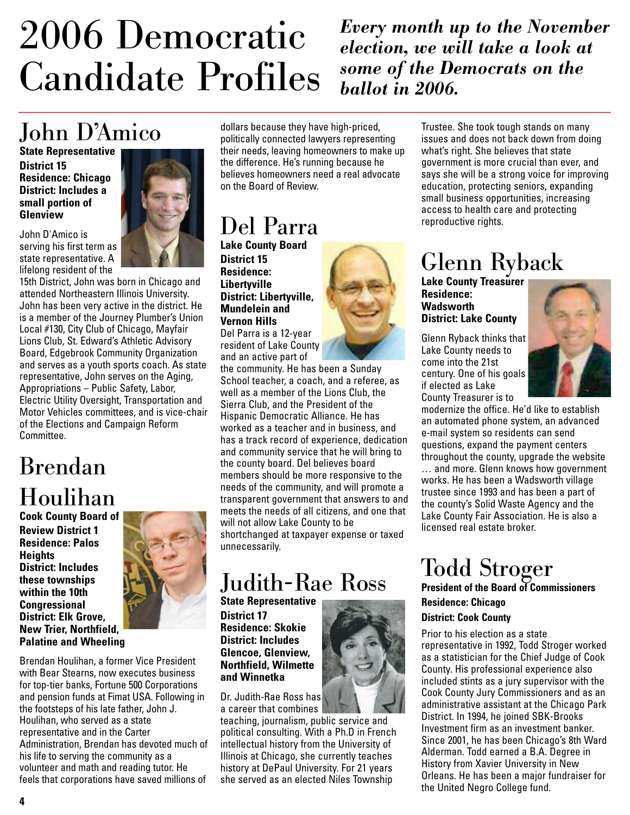# 2006 Democratic Candidate Profiles

*Every month up to the November election, we will take a look at some of the Democrats on the ballot in 2006.*

## John D'Amico

**State Representative District 15 Residence: Chicago District: Includes a small portion of Glenview**

John D'Amico is serving his first term as state representative. A lifelong resident of the



15th District, John was born in Chicago and attended Northeastern Illinois University. John has been very active in the district. He is a member of the Journey Plumber's Union Local #130, City Club of Chicago, Mayfair Lions Club, St. Edward's Athletic Advisory Board, Edgebrook Community Organization and serves as a youth sports coach. As state representative, John serves on the Aging, Appropriations – Public Safety, Labor, Electric Utility Oversight, Transportation and Motor Vehicles committees, and is vice-chair of the Elections and Campaign Reform Committee.

### Brendan Houlihan

**Cook County Board of Review District 1 Residence: Palos Heights District: Includes these townships within the 10th Congressional District: Elk Grove, New Trier, Northfield, Palatine and Wheeling** 



Brendan Houlihan, a former Vice President with Bear Stearns, now executes business for top-tier banks, Fortune 500 Corporations and pension funds at Fimat USA. Following in the footsteps of his late father, John J. Houlihan, who served as a state representative and in the Carter Administration, Brendan has devoted much of his life to serving the community as a volunteer and math and reading tutor. He feels that corporations have saved millions of

dollars because they have high-priced, politically connected lawyers representing their needs, leaving homeowners to make up the difference. He's running because he believes homeowners need a real advocate on the Board of Review.

### Del Parra

**Lake County Board District 15 Residence: Libertyville District: Libertyville, Mundelein and Vernon Hills** Del Parra is a 12-year

resident of Lake County and an active part of

the community. He has been a Sunday School teacher, a coach, and a referee, as well as a member of the Lions Club, the Sierra Club, and the President of the Hispanic Democratic Alliance. He has worked as a teacher and in business, and has a track record of experience, dedication and community service that he will bring to the county board. Del believes board members should be more responsive to the needs of the community, and will promote a transparent government that answers to and meets the needs of all citizens, and one that will not allow Lake County to be shortchanged at taxpayer expense or taxed unnecessarily.

### Judith-Rae Ross

**State Representative District 17 Residence: Skokie District: Includes Glencoe, Glenview, Northfield, Wilmette and Winnetka** 

Dr. Judith-Rae Ross has a career that combines

teaching, journalism, public service and political consulting. With a Ph.D in French intellectual history from the University of Illinois at Chicago, she currently teaches history at DePaul University. For 21 years she served as an elected Niles Township



Trustee. She took tough stands on many issues and does not back down from doing what's right. She believes that state government is more crucial than ever, and says she will be a strong voice for improving education, protecting seniors, expanding small business opportunities, increasing access to health care and protecting reproductive rights.

## Glenn Ryback

Lake **County Treasurer Residence: Wadsworth District: Lake County**

Glenn Ryback thinks that Lake County needs to come into the 21st century. One of his goals if elected as Lake County Treasurer is to



modernize the office. He'd like to establish an automated phone system, an advanced e-mail system so residents can send questions, expand the payment centers throughout the county, upgrade the website … and more. Glenn knows how government works. He has been a Wadsworth village trustee since 1993 and has been a part of the county's Solid Waste Agency and the Lake County Fair Association. He is also a licensed real estate broker.

# Todd Stroger

**President of the Board of Commissioners Residence: Chicago**

#### **District: Cook County**

Prior to his election as a state representative in 1992, Todd Stroger worked as a statistician for the Chief Judge of Cook County. His professional experience also included stints as a jury supervisor with the Cook County Jury Commissioners and as an administrative assistant at the Chicago Park District. In 1994, he joined SBK-Brooks Investment firm as an investment banker. Since 2001, he has been Chicago's 8th Ward Alderman. Todd earned a B.A. Degree in History from Xavier University in New Orleans. He has been a major fundraiser for the United Negro College fund.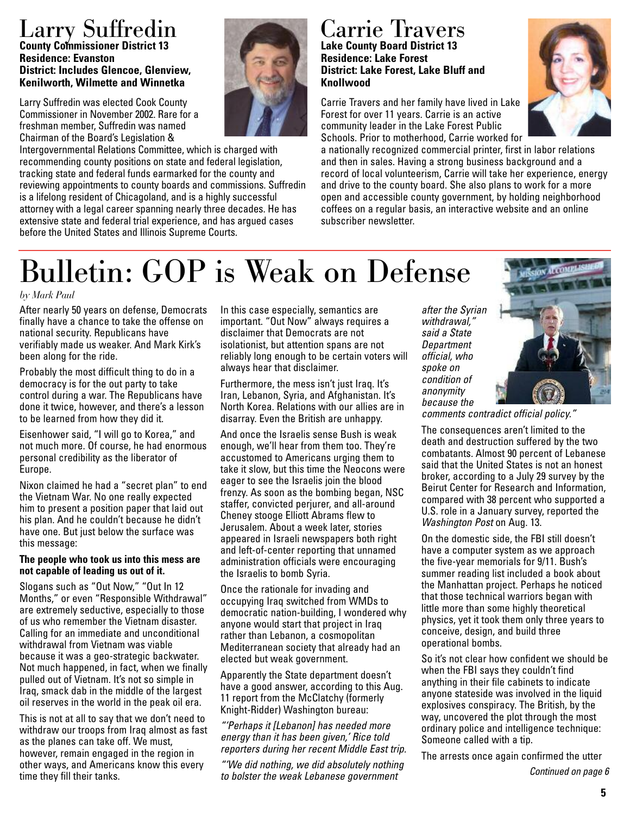### Larry Suffredin **County Commissioner District 13 Residence: Evanston District: Includes Glencoe, Glenview, Kenilworth, Wilmette and Winnetka**

Larry Suffredin was elected Cook County Commissioner in November 2002. Rare for a freshman member, Suffredin was named Chairman of the Board's Legislation &

Intergovernmental Relations Committee, which is charged with recommending county positions on state and federal legislation, tracking state and federal funds earmarked for the county and reviewing appointments to county boards and commissions. Suffredin is a lifelong resident of Chicagoland, and is a highly successful attorney with a legal career spanning nearly three decades. He has extensive state and federal trial experience, and has argued cases before the United States and Illinois Supreme Courts.

#### Carrie Travers **Lake County Board District 13 Residence: Lake Forest District: Lake Forest, Lake Bluff and Knollwood**

Carrie Travers and her family have lived in Lake Forest for over 11 years. Carrie is an active community leader in the Lake Forest Public Schools. Prior to motherhood, Carrie worked for



a nationally recognized commercial printer, first in labor relations and then in sales. Having a strong business background and a record of local volunteerism, Carrie will take her experience, energy and drive to the county board. She also plans to work for a more open and accessible county government, by holding neighborhood coffees on a regular basis, an interactive website and an online subscriber newsletter.

# Bulletin: GOP is Weak on Defense

#### *by Mark Paul*

After nearly 50 years on defense, Democrats finally have a chance to take the offense on national security. Republicans have verifiably made us weaker. And Mark Kirk's been along for the ride.

Probably the most difficult thing to do in a democracy is for the out party to take control during a war. The Republicans have done it twice, however, and there's a lesson to be learned from how they did it.

Eisenhower said, "I will go to Korea," and not much more. Of course, he had enormous personal credibility as the liberator of Europe.

Nixon claimed he had a "secret plan" to end the Vietnam War. No one really expected him to present a position paper that laid out his plan. And he couldn't because he didn't have one. But just below the surface was this message:

#### **The people who took us into this mess are not capable of leading us out of it.**

Slogans such as "Out Now," "Out In 12 Months," or even "Responsible Withdrawal" are extremely seductive, especially to those of us who remember the Vietnam disaster. Calling for an immediate and unconditional withdrawal from Vietnam was viable because it was a geo-strategic backwater. Not much happened, in fact, when we finally pulled out of Vietnam. It's not so simple in Iraq, smack dab in the middle of the largest oil reserves in the world in the peak oil era.

This is not at all to say that we don't need to withdraw our troops from Iraq almost as fast as the planes can take off. We must, however, remain engaged in the region in other ways, and Americans know this every time they fill their tanks.

In this case especially, semantics are important. "Out Now" always requires a disclaimer that Democrats are not isolationist, but attention spans are not reliably long enough to be certain voters will always hear that disclaimer.

Furthermore, the mess isn't just Iraq. It's Iran, Lebanon, Syria, and Afghanistan. It's North Korea. Relations with our allies are in disarray. Even the British are unhappy.

And once the Israelis sense Bush is weak enough, we'll hear from them too. They're accustomed to Americans urging them to take it slow, but this time the Neocons were eager to see the Israelis join the blood frenzy. As soon as the bombing began, NSC staffer, convicted perjurer, and all-around Cheney stooge Elliott Abrams flew to Jerusalem. About a week later, stories appeared in Israeli newspapers both right and left-of-center reporting that unnamed administration officials were encouraging the Israelis to bomb Syria.

Once the rationale for invading and occupying Iraq switched from WMDs to democratic nation-building, I wondered why anyone would start that project in Iraq rather than Lebanon, a cosmopolitan Mediterranean society that already had an elected but weak government.

Apparently the State department doesn't have a good answer, according to this Aug. 11 report from the McClatchy (formerly Knight-Ridder) Washington bureau:

*"'Perhaps it [Lebanon] has needed more energy than it has been given,' Rice told reporters during her recent Middle East trip.*

*"'We did nothing, we did absolutely nothing to bolster the weak Lebanese government*

*after the Syrian withdrawal," said a State Department official, who spoke on condition of anonymity because the*



*comments contradict official policy."*

The consequences aren't limited to the death and destruction suffered by the two combatants. Almost 90 percent of Lebanese said that the United States is not an honest broker, according to a July 29 survey by the Beirut Center for Research and Information, compared with 38 percent who supported a U.S. role in a January survey, reported the *Washington Post* on Aug. 13.

On the domestic side, the FBI still doesn't have a computer system as we approach the five-year memorials for 9/11. Bush's summer reading list included a book about the Manhattan project. Perhaps he noticed that those technical warriors began with little more than some highly theoretical physics, yet it took them only three years to conceive, design, and build three operational bombs.

So it's not clear how confident we should be when the FBI says they couldn't find anything in their file cabinets to indicate anyone stateside was involved in the liquid explosives conspiracy. The British, by the way, uncovered the plot through the most ordinary police and intelligence technique: Someone called with a tip.

The arrests once again confirmed the utter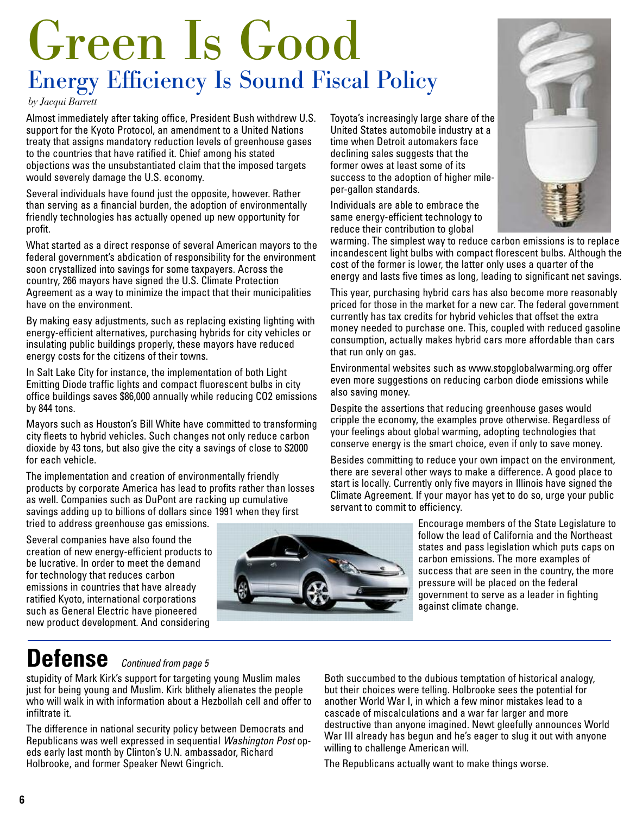# Green Is Good Energy Efficiency Is Sound Fiscal Policy

*by Jacqui Barrett*

Almost immediately after taking office, President Bush withdrew U.S. support for the Kyoto Protocol, an amendment to a United Nations treaty that assigns mandatory reduction levels of greenhouse gases to the countries that have ratified it. Chief among his stated objections was the unsubstantiated claim that the imposed targets would severely damage the U.S. economy.

Several individuals have found just the opposite, however. Rather than serving as a financial burden, the adoption of environmentally friendly technologies has actually opened up new opportunity for profit.

What started as a direct response of several American mayors to the federal government's abdication of responsibility for the environment soon crystallized into savings for some taxpayers. Across the country, 266 mayors have signed the U.S. Climate Protection Agreement as a way to minimize the impact that their municipalities have on the environment.

By making easy adjustments, such as replacing existing lighting with energy-efficient alternatives, purchasing hybrids for city vehicles or insulating public buildings properly, these mayors have reduced energy costs for the citizens of their towns.

In Salt Lake City for instance, the implementation of both Light Emitting Diode traffic lights and compact fluorescent bulbs in city office buildings saves \$86,000 annually while reducing CO2 emissions by 844 tons.

Mayors such as Houston's Bill White have committed to transforming city fleets to hybrid vehicles. Such changes not only reduce carbon dioxide by 43 tons, but also give the city a savings of close to \$2000 for each vehicle.

The implementation and creation of environmentally friendly products by corporate America has lead to profits rather than losses as well. Companies such as DuPont are racking up cumulative savings adding up to billions of dollars since 1991 when they first tried to address greenhouse gas emissions.

Several companies have also found the creation of new energy-efficient products to be lucrative. In order to meet the demand for technology that reduces carbon emissions in countries that have already ratified Kyoto, international corporations such as General Electric have pioneered new product development. And considering



Toyota's increasingly large share of the United States automobile industry at a time when Detroit automakers face declining sales suggests that the former owes at least some of its success to the adoption of higher mileper-gallon standards.

Individuals are able to embrace the same energy-efficient technology to reduce their contribution to global



warming. The simplest way to reduce carbon emissions is to replace incandescent light bulbs with compact florescent bulbs. Although the cost of the former is lower, the latter only uses a quarter of the energy and lasts five times as long, leading to significant net savings.

This year, purchasing hybrid cars has also become more reasonably priced for those in the market for a new car. The federal government currently has tax credits for hybrid vehicles that offset the extra money needed to purchase one. This, coupled with reduced gasoline consumption, actually makes hybrid cars more affordable than cars that run only on gas.

Environmental websites such as www.stopglobalwarming.org offer even more suggestions on reducing carbon diode emissions while also saving money.

Despite the assertions that reducing greenhouse gases would cripple the economy, the examples prove otherwise. Regardless of your feelings about global warming, adopting technologies that conserve energy is the smart choice, even if only to save money.

Besides committing to reduce your own impact on the environment, there are several other ways to make a difference. A good place to start is locally. Currently only five mayors in Illinois have signed the Climate Agreement. If your mayor has yet to do so, urge your public servant to commit to efficiency.

> Encourage members of the State Legislature to follow the lead of California and the Northeast states and pass legislation which puts caps on carbon emissions. The more examples of success that are seen in the country, the more pressure will be placed on the federal government to serve as a leader in fighting against climate change.

### **Defense** *Continued from page 5*

stupidity of Mark Kirk's support for targeting young Muslim males just for being young and Muslim. Kirk blithely alienates the people who will walk in with information about a Hezbollah cell and offer to infiltrate it.

The difference in national security policy between Democrats and Republicans was well expressed in sequential *Washington Post* opeds early last month by Clinton's U.N. ambassador, Richard Holbrooke, and former Speaker Newt Gingrich.

Both succumbed to the dubious temptation of historical analogy, but their choices were telling. Holbrooke sees the potential for another World War I, in which a few minor mistakes lead to a cascade of miscalculations and a war far larger and more destructive than anyone imagined. Newt gleefully announces World War III already has begun and he's eager to slug it out with anyone willing to challenge American will.

The Republicans actually want to make things worse.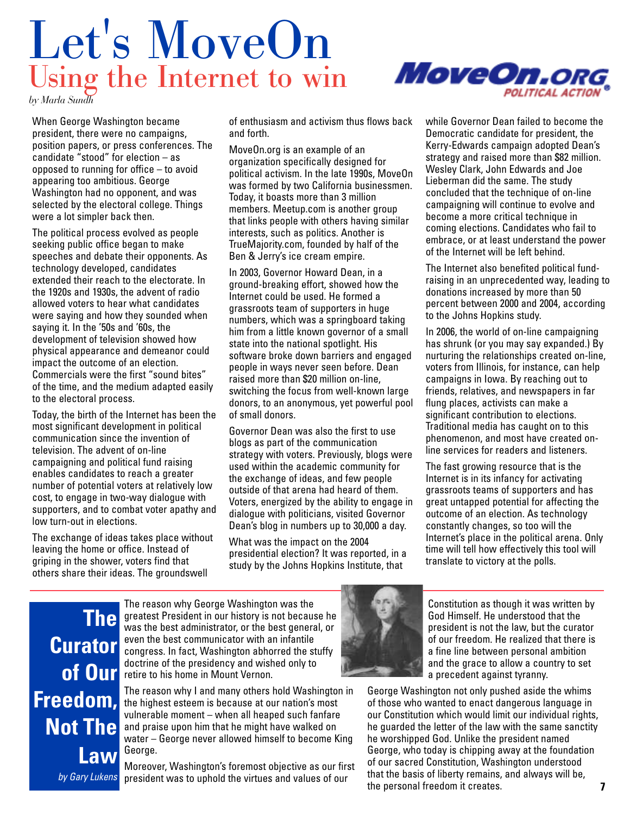# Let's MoveOn Using the Internet to win



*by Marla Sundh*

When George Washington became president, there were no campaigns, position papers, or press conferences. The candidate "stood" for election – as opposed to running for office – to avoid appearing too ambitious. George Washington had no opponent, and was selected by the electoral college. Things were a lot simpler back then.

The political process evolved as people seeking public office began to make speeches and debate their opponents. As technology developed, candidates extended their reach to the electorate. In the 1920s and 1930s, the advent of radio allowed voters to hear what candidates were saying and how they sounded when saying it. In the '50s and '60s, the development of television showed how physical appearance and demeanor could impact the outcome of an election. Commercials were the first "sound bites" of the time, and the medium adapted easily to the electoral process.

Today, the birth of the Internet has been the most significant development in political communication since the invention of television. The advent of on-line campaigning and political fund raising enables candidates to reach a greater number of potential voters at relatively low cost, to engage in two-way dialogue with supporters, and to combat voter apathy and low turn-out in elections.

The exchange of ideas takes place without leaving the home or office. Instead of griping in the shower, voters find that others share their ideas. The groundswell

of enthusiasm and activism thus flows back and forth.

MoveOn.org is an example of an organization specifically designed for political activism. In the late 1990s, MoveOn was formed by two California businessmen. Today, it boasts more than 3 million members. Meetup.com is another group that links people with others having similar interests, such as politics. Another is TrueMajority.com, founded by half of the Ben & Jerry's ice cream empire.

In 2003, Governor Howard Dean, in a ground-breaking effort, showed how the Internet could be used. He formed a grassroots team of supporters in huge numbers, which was a springboard taking him from a little known governor of a small state into the national spotlight. His software broke down barriers and engaged people in ways never seen before. Dean raised more than \$20 million on-line, switching the focus from well-known large donors, to an anonymous, yet powerful pool of small donors.

Governor Dean was also the first to use blogs as part of the communication strategy with voters. Previously, blogs were used within the academic community for the exchange of ideas, and few people outside of that arena had heard of them. Voters, energized by the ability to engage in dialogue with politicians, visited Governor Dean's blog in numbers up to 30,000 a day.

What was the impact on the 2004 presidential election? It was reported, in a study by the Johns Hopkins Institute, that

while Governor Dean failed to become the Democratic candidate for president, the Kerry-Edwards campaign adopted Dean's strategy and raised more than \$82 million. Wesley Clark, John Edwards and Joe Lieberman did the same. The study concluded that the technique of on-line campaigning will continue to evolve and become a more critical technique in coming elections. Candidates who fail to embrace, or at least understand the power of the Internet will be left behind.

The Internet also benefited political fundraising in an unprecedented way, leading to donations increased by more than 50 percent between 2000 and 2004, according to the Johns Hopkins study.

In 2006, the world of on-line campaigning has shrunk (or you may say expanded.) By nurturing the relationships created on-line, voters from Illinois, for instance, can help campaigns in Iowa. By reaching out to friends, relatives, and newspapers in far flung places, activists can make a significant contribution to elections. Traditional media has caught on to this phenomenon, and most have created online services for readers and listeners.

The fast growing resource that is the Internet is in its infancy for activating grassroots teams of supporters and has great untapped potential for affecting the outcome of an election. As technology constantly changes, so too will the Internet's place in the political arena. Only time will tell how effectively this tool will translate to victory at the polls.

**The Curator of Our Freedom, Not The Law**  *by Gary Lukens*

The reason why George Washington was the greatest President in our history is not because he was the best administrator, or the best general, or even the best communicator with an infantile congress. In fact, Washington abhorred the stuffy doctrine of the presidency and wished only to retire to his home in Mount Vernon.

The reason why I and many others hold Washington in the highest esteem is because at our nation's most vulnerable moment – when all heaped such fanfare and praise upon him that he might have walked on water – George never allowed himself to become King George.

Moreover, Washington's foremost objective as our first president was to uphold the virtues and values of our



Constitution as though it was written by God Himself. He understood that the president is not the law, but the curator of our freedom. He realized that there is a fine line between personal ambition and the grace to allow a country to set a precedent against tyranny.

George Washington not only pushed aside the whims of those who wanted to enact dangerous language in our Constitution which would limit our individual rights, he guarded the letter of the law with the same sanctity he worshipped God. Unlike the president named George, who today is chipping away at the foundation of our sacred Constitution, Washington understood that the basis of liberty remains, and always will be, the personal freedom it creates.